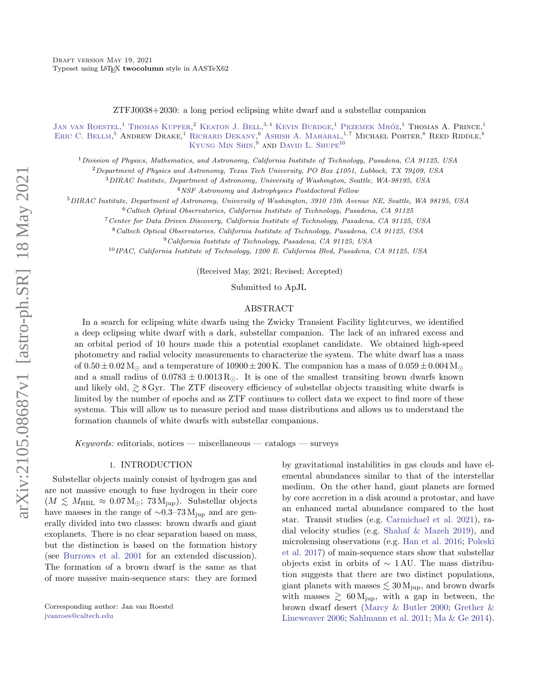ZTFJ0038+2030: a long period eclipsing white dwarf and a substellar companion

[Jan van Roestel,](http://orcid.org/0000-0002-2626-2872)<sup>1</sup> [Thomas Kupfer,](http://orcid.org/0000-0002-6540-1484)<sup>2</sup> [Keaton J. Bell,](http://orcid.org/0000-0002-0656-032X) <sup>3,4</sup> [Kevin Burdge,](http://orcid.org/0000-0002-7226-836X)<sup>1</sup> Przemek Mróz,<sup>1</sup> Thomas A. Prince,<sup>1</sup> ERIC C. BELLM.<sup>5</sup> ANDREW DRAKE.<sup>1</sup> RICHARD DEKANY.<sup>6'</sup> ASHISH A. MAHABAL.<sup>1,7</sup> MICHAEL PORTER.<sup>8</sup> REED RIDDLE.<sup>8</sup> KYUNG MIN SHIN.<sup>9</sup> AND DAVID L. SHUPE<sup>10</sup>

 $1$ Division of Physics, Mathematics, and Astronomy, California Institute of Technology, Pasadena, CA 91125, USA

 $2$ Department of Physics and Astronomy, Texas Tech University, PO Box 41051, Lubbock, TX 79409, USA

<sup>3</sup>DIRAC Institute, Department of Astronomy, University of Washington, Seattle, WA-98195, USA

<sup>4</sup>NSF Astronomy and Astrophysics Postdoctoral Fellow

<sup>5</sup>DIRAC Institute, Department of Astronomy, University of Washington, 3910 15th Avenue NE, Seattle, WA 98195, USA

 $6$ Caltech Optical Observatories, California Institute of Technology, Pasadena, CA 91125

<sup>7</sup>Center for Data Driven Discovery, California Institute of Technology, Pasadena, CA 91125, USA

<sup>8</sup>Caltech Optical Observatories, California Institute of Technology, Pasadena, CA 91125, USA

 $^{9}$ California Institute of Technology, Pasadena, CA 91125, USA

<sup>10</sup>IPAC, California Institute of Technology, 1200 E. California Blvd, Pasadena, CA 91125, USA

(Received May, 2021; Revised; Accepted)

Submitted to ApJL

#### ABSTRACT

In a search for eclipsing white dwarfs using the Zwicky Transient Facility lightcurves, we identified a deep eclipsing white dwarf with a dark, substellar companion. The lack of an infrared excess and an orbital period of 10 hours made this a potential exoplanet candidate. We obtained high-speed photometry and radial velocity measurements to characterize the system. The white dwarf has a mass of  $0.50 \pm 0.02$  M<sub>\odotor</sub> and a temperature of  $10900 \pm 200$  K. The companion has a mass of  $0.059 \pm 0.004$  M<sub>\odotor</sub> and a small radius of  $0.0783 \pm 0.0013 R_{\odot}$ . It is one of the smallest transiting brown dwarfs known and likely old,  $\gtrsim$  8 Gyr. The ZTF discovery efficiency of substellar objects transiting white dwarfs is limited by the number of epochs and as ZTF continues to collect data we expect to find more of these systems. This will allow us to measure period and mass distributions and allows us to understand the formation channels of white dwarfs with substellar companions.

 $Keywords:$  editorials, notices — miscellaneous — catalogs — surveys

# 1. INTRODUCTION

Substellar objects mainly consist of hydrogen gas and are not massive enough to fuse hydrogen in their core  $(M \lesssim M_{\rm HBL} \approx 0.07 \,\rm M_{\odot}; 73 \,\rm M_{\rm jup}).$  Substellar objects have masses in the range of  $\sim 0.3-73 \,\mathrm{M_{iup}}$  and are generally divided into two classes: brown dwarfs and giant exoplanets. There is no clear separation based on mass, but the distinction is based on the formation history (see [Burrows et al.](#page-9-0) [2001](#page-9-0) for an extended discussion). The formation of a brown dwarf is the same as that of more massive main-sequence stars: they are formed

by gravitational instabilities in gas clouds and have elemental abundances similar to that of the interstellar medium. On the other hand, giant planets are formed by core accretion in a disk around a protostar, and have an enhanced metal abundance compared to the host star. Transit studies (e.g. [Carmichael et al.](#page-9-1) [2021\)](#page-9-1), radial velocity studies (e.g. [Shahaf & Mazeh](#page-12-0) [2019\)](#page-12-0), and microlensing observations (e.g. [Han et al.](#page-10-0) [2016;](#page-10-0) [Poleski](#page-11-0) [et al.](#page-11-0) [2017\)](#page-11-0) of main-sequence stars show that substellar objects exist in orbits of  $\sim 1 \text{ AU}$ . The mass distribution suggests that there are two distinct populations, giant planets with masses  $\leq 30 \,\mathrm{M_{\text{jup}}}$ , and brown dwarfs with masses  $\geq 60 \,\mathrm{M_{jup}}$ , with a gap in between, the brown dwarf desert [\(Marcy & Butler](#page-11-1) [2000;](#page-11-1) [Grether &](#page-10-1) [Lineweaver](#page-10-1) [2006;](#page-10-1) [Sahlmann et al.](#page-11-2) [2011;](#page-11-2) [Ma & Ge](#page-11-3) [2014\)](#page-11-3).

Corresponding author: Jan van Roestel [jvanroes@caltech.edu](mailto: jvanroes@caltech.edu)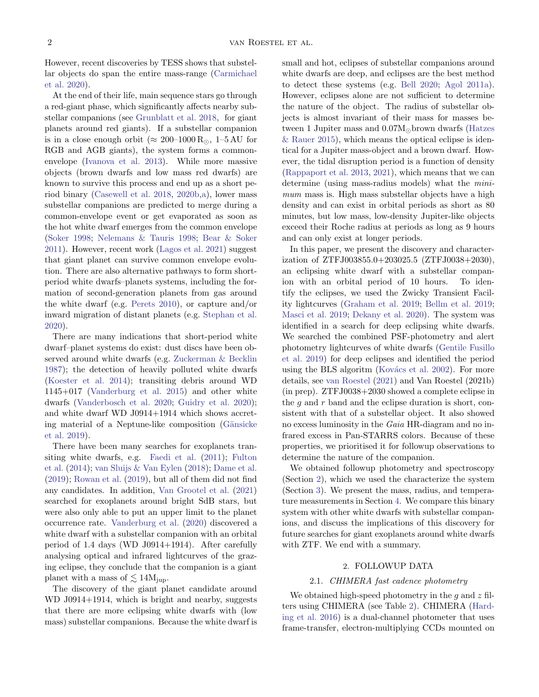However, recent discoveries by TESS shows that substellar objects do span the entire mass-range [\(Carmichael](#page-9-2) [et al.](#page-9-2) [2020\)](#page-9-2).

At the end of their life, main sequence stars go through a red-giant phase, which significantly affects nearby substellar companions (see [Grunblatt et al.](#page-10-2) [2018,](#page-10-2) for giant planets around red giants). If a substellar companion is in a close enough orbit ( $\approx 200-1000 \text{ R}_{\odot}$ , 1-5 AU for RGB and AGB giants), the system forms a commonenvelope [\(Ivanova et al.](#page-10-3) [2013\)](#page-10-3). While more massive objects (brown dwarfs and low mass red dwarfs) are known to survive this process and end up as a short period binary [\(Casewell et al.](#page-9-3) [2018,](#page-9-3) [2020b](#page-9-4)[,a\)](#page-9-5), lower mass substellar companions are predicted to merge during a common-envelope event or get evaporated as soon as the hot white dwarf emerges from the common envelope [\(Soker](#page-12-1) [1998;](#page-12-1) [Nelemans & Tauris](#page-11-4) [1998;](#page-11-4) [Bear & Soker](#page-9-6) [2011\)](#page-9-6). However, recent work [\(Lagos et al.](#page-10-4) [2021\)](#page-10-4) suggest that giant planet can survive common envelope evolution. There are also alternative pathways to form shortperiod white dwarfs–planets systems, including the formation of second-generation planets from gas around the white dwarf (e.g. [Perets](#page-11-5) [2010\)](#page-11-5), or capture and/or inward migration of distant planets (e.g. [Stephan et al.](#page-12-2) [2020\)](#page-12-2).

There are many indications that short-period white dwarf–planet systems do exist: dust discs have been observed around white dwarfs (e.g. [Zuckerman & Becklin](#page-12-3) [1987\)](#page-12-3); the detection of heavily polluted white dwarfs [\(Koester et al.](#page-10-5) [2014\)](#page-10-5); transiting debris around WD 1145+017 [\(Vanderburg et al.](#page-12-4) [2015\)](#page-12-4) and other white dwarfs [\(Vanderbosch et al.](#page-12-5) [2020;](#page-12-5) [Guidry et al.](#page-10-6) [2020\)](#page-10-6); and white dwarf WD J0914+1914 which shows accreting material of a Neptune-like composition (Gänsicke) [et al.](#page-10-7) [2019\)](#page-10-7).

There have been many searches for exoplanets transiting white dwarfs, e.g. [Faedi et al.](#page-10-8) [\(2011\)](#page-10-8); [Fulton](#page-10-9) [et al.](#page-10-9) [\(2014\)](#page-10-9); [van Sluijs & Van Eylen](#page-12-6) [\(2018\)](#page-12-6); [Dame et al.](#page-9-7) [\(2019\)](#page-9-7); [Rowan et al.](#page-11-6) [\(2019\)](#page-11-6), but all of them did not find any candidates. In addition, [Van Grootel et al.](#page-12-7) [\(2021\)](#page-12-7) searched for exoplanets around bright SdB stars, but were also only able to put an upper limit to the planet occurrence rate. [Vanderburg et al.](#page-12-8) [\(2020\)](#page-12-8) discovered a white dwarf with a substellar companion with an orbital period of 1.4 days (WD J0914+1914). After carefully analysing optical and infrared lightcurves of the grazing eclipse, they conclude that the companion is a giant planet with a mass of  $\lesssim 14M_{\text{iup}}$ .

The discovery of the giant planet candidate around WD J0914+1914, which is bright and nearby, suggests that there are more eclipsing white dwarfs with (low mass) substellar companions. Because the white dwarf is small and hot, eclipses of substellar companions around white dwarfs are deep, and eclipses are the best method to detect these systems (e.g. [Bell](#page-9-8) [2020;](#page-9-8) [Agol](#page-9-9) [2011a\)](#page-9-9). However, eclipses alone are not sufficient to determine the nature of the object. The radius of substellar objects is almost invariant of their mass for masses between 1 Jupiter mass and  $0.07M_{\odot}$  brown dwarfs [\(Hatzes](#page-10-10) [& Rauer](#page-10-10) [2015\)](#page-10-10), which means the optical eclipse is identical for a Jupiter mass-object and a brown dwarf. However, the tidal disruption period is a function of density [\(Rappaport et al.](#page-11-7) [2013,](#page-11-7) [2021\)](#page-11-8), which means that we can determine (using mass-radius models) what the *mini*mum mass is. High mass substellar objects have a high density and can exist in orbital periods as short as 80 minutes, but low mass, low-density Jupiter-like objects exceed their Roche radius at periods as long as 9 hours and can only exist at longer periods.

In this paper, we present the discovery and characterization of ZTFJ003855.0+203025.5 (ZTFJ0038+2030), an eclipsing white dwarf with a substellar companion with an orbital period of 10 hours. To identify the eclipses, we used the Zwicky Transient Facility lightcurves [\(Graham et al.](#page-10-11) [2019;](#page-10-11) [Bellm et al.](#page-9-10) [2019;](#page-9-10) [Masci et al.](#page-11-9) [2019;](#page-11-9) [Dekany et al.](#page-9-11) [2020\)](#page-9-11). The system was identified in a search for deep eclipsing white dwarfs. We searched the combined PSF-photometry and alert photometry lightcurves of white dwarfs [\(Gentile Fusillo](#page-10-12) [et al.](#page-10-12) [2019\)](#page-10-12) for deep eclipses and identified the period using the BLS algoritm (Kovács et al. [2002\)](#page-10-13). For more details, see [van Roestel](#page-12-9) [\(2021\)](#page-12-9) and Van Roestel (2021b) (in prep). ZTFJ0038+2030 showed a complete eclipse in the  $g$  and  $r$  band and the eclipse duration is short, consistent with that of a substellar object. It also showed no excess luminosity in the Gaia HR-diagram and no infrared excess in Pan-STARRS colors. Because of these properties, we prioritised it for followup observations to determine the nature of the companion.

We obtained followup photometry and spectroscopy (Section [2\)](#page-1-0), which we used the characterize the system (Section [3\)](#page-2-0). We present the mass, radius, and temperature measurements in Section [4.](#page-3-0) We compare this binary system with other white dwarfs with substellar companions, and discuss the implications of this discovery for future searches for giant exoplanets around white dwarfs with ZTF. We end with a summary.

# 2. FOLLOWUP DATA

### <span id="page-1-0"></span>2.1. CHIMERA fast cadence photometry

We obtained high-speed photometry in the  $g$  and  $z$  filters using CHIMERA (see Table [2\)](#page-3-1). CHIMERA [\(Hard](#page-10-14)[ing et al.](#page-10-14) [2016\)](#page-10-14) is a dual-channel photometer that uses frame-transfer, electron-multiplying CCDs mounted on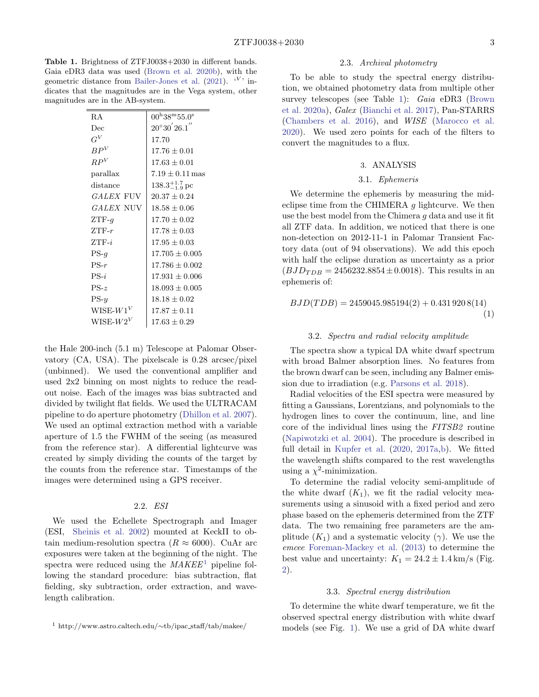<span id="page-2-2"></span>Table 1. Brightness of ZTFJ0038+2030 in different bands. Gaia eDR3 data was used [\(Brown et al.](#page-9-12) [2020b\)](#page-9-12), with the geometric distance from [Bailer-Jones et al.](#page-9-13) [\(2021\)](#page-9-13).  $V$  indicates that the magnitudes are in the Vega system, other magnitudes are in the AB-system.

| $00^{\rm h}38^{\rm m}55.0^{\rm s}$ |
|------------------------------------|
| $20^{\circ}30^{'}26.1^{''}$        |
| 17.70                              |
| $17.76 \pm 0.01$                   |
| $17.63 \pm 0.01$                   |
| $7.19 \pm 0.11 \,\mathrm{mas}$     |
| $138.3^{+1.7}_{-1.9}$ pc           |
| $20.37 + 0.24$                     |
| $18.58 + 0.06$                     |
| $17.70 \pm 0.02$                   |
| $17.78 + 0.03$                     |
| $17.95 \pm 0.03$                   |
| $17.705 \pm 0.005$                 |
| $17.786 \pm 0.002$                 |
| $17.931 \pm 0.006$                 |
| $18.093 + 0.005$                   |
| $18.18 + 0.02$                     |
| $17.87 + 0.11$                     |
| $17.63 \pm 0.29$                   |
|                                    |

the Hale 200-inch (5.1 m) Telescope at Palomar Observatory (CA, USA). The pixelscale is 0.28 arcsec/pixel (unbinned). We used the conventional amplifier and used 2x2 binning on most nights to reduce the readout noise. Each of the images was bias subtracted and divided by twilight flat fields. We used the ULTRACAM pipeline to do aperture photometry [\(Dhillon et al.](#page-9-14) [2007\)](#page-9-14). We used an optimal extraction method with a variable aperture of 1.5 the FWHM of the seeing (as measured from the reference star). A differential lightcurve was created by simply dividing the counts of the target by the counts from the reference star. Timestamps of the images were determined using a GPS receiver.

# 2.2. ESI

We used the Echellete Spectrograph and Imager (ESI, [Sheinis et al.](#page-12-10) [2002\)](#page-12-10) mounted at KeckII to obtain medium-resolution spectra ( $R \approx 6000$ ). CuAr arc exposures were taken at the beginning of the night. The spectra were reduced using the  $MAKEE<sup>1</sup>$  $MAKEE<sup>1</sup>$  $MAKEE<sup>1</sup>$  pipeline following the standard procedure: bias subtraction, flat fielding, sky subtraction, order extraction, and wavelength calibration.

### 2.3. Archival photometry

To be able to study the spectral energy distribution, we obtained photometry data from multiple other survey telescopes (see Table [1\)](#page-2-2): Gaia eDR3 [\(Brown](#page-9-15) [et al.](#page-9-15) [2020a\)](#page-9-15), Galex [\(Bianchi et al.](#page-9-16) [2017\)](#page-9-16), Pan-STARRS [\(Chambers et al.](#page-9-17) [2016\)](#page-9-17), and WISE [\(Marocco et al.](#page-11-10) [2020\)](#page-11-10). We used zero points for each of the filters to convert the magnitudes to a flux.

# 3. ANALYSIS

# 3.1. Ephemeris

<span id="page-2-3"></span><span id="page-2-0"></span>We determine the ephemeris by measuring the mideclipse time from the CHIMERA  $q$  lightcurve. We then use the best model from the Chimera g data and use it fit all ZTF data. In addition, we noticed that there is one non-detection on 2012-11-1 in Palomar Transient Factory data (out of 94 observations). We add this epoch with half the eclipse duration as uncertainty as a prior  $(BJD_{TDB} = 2456232.8854 \pm 0.0018)$ . This results in an ephemeris of:

$$
BJD(TDB) = 2459045.985194(2) + 0.4319208(14)
$$
\n<sup>(1)</sup>

#### 3.2. Spectra and radial velocity amplitude

<span id="page-2-4"></span>The spectra show a typical DA white dwarf spectrum with broad Balmer absorption lines. No features from the brown dwarf can be seen, including any Balmer emission due to irradiation (e.g. [Parsons et al.](#page-11-11) [2018\)](#page-11-11).

Radial velocities of the ESI spectra were measured by fitting a Gaussians, Lorentzians, and polynomials to the hydrogen lines to cover the continuum, line, and line core of the individual lines using the FITSB2 routine [\(Napiwotzki et al.](#page-11-12) [2004\)](#page-11-12). The procedure is described in full detail in [Kupfer et al.](#page-10-15) [\(2020,](#page-10-15) [2017a,](#page-10-16)[b\)](#page-10-17). We fitted the wavelength shifts compared to the rest wavelengths using a  $\chi^2$ -minimization.

To determine the radial velocity semi-amplitude of the white dwarf  $(K_1)$ , we fit the radial velocity measurements using a sinusoid with a fixed period and zero phase based on the ephemeris determined from the ZTF data. The two remaining free parameters are the amplitude  $(K_1)$  and a systematic velocity  $(\gamma)$ . We use the emcee [Foreman-Mackey et al.](#page-10-18) [\(2013\)](#page-10-18) to determine the best value and uncertainty:  $K_1 = 24.2 \pm 1.4 \,\mathrm{km/s}$  (Fig. [2\)](#page-4-0).

#### 3.3. Spectral energy distribution

To determine the white dwarf temperature, we fit the observed spectral energy distribution with white dwarf models (see Fig. [1\)](#page-3-2). We use a grid of DA white dwarf

<span id="page-2-1"></span><sup>1</sup> http://www.astro.caltech.edu/∼tb/ipac staff/tab/makee/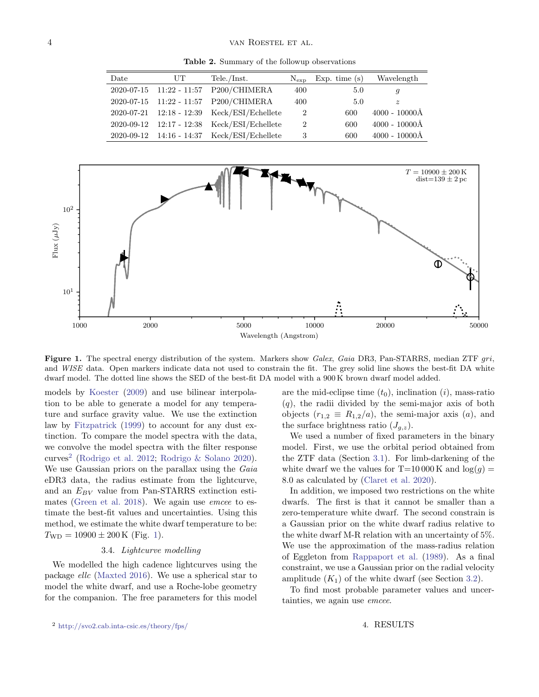<span id="page-3-1"></span>Table 2. Summary of the followup observations

| Date | UT | Tele./Inst.                                   | $N_{\rm exp}$  | Exp. time $(s)$ | Wavelength               |
|------|----|-----------------------------------------------|----------------|-----------------|--------------------------|
|      |    | 2020-07-15  11:22 - 11:57  P200/CHIMERA       | 400            | 5.0             | $\mathfrak{g}$           |
|      |    | 2020-07-15  11:22 - 11:57  P200/CHIMERA       | 400            | 5.0             | $\tilde{z}$              |
|      |    | 2020-07-21  12:18 - 12:39  Keck/ESI/Echellete | 2              | 600             | $4000 - 10000\text{\AA}$ |
|      |    | 2020-09-12 12:17 - 12:38 Keck/ESI/Echellete   | $\overline{2}$ | 600             | $4000 - 10000\text{\AA}$ |
|      |    | 2020-09-12 14:16 - 14:37 Keck/ESI/Echellete   | 3              | 600             | $4000 - 10000\text{\AA}$ |



<span id="page-3-2"></span>Figure 1. The spectral energy distribution of the system. Markers show Galex, Gaia DR3, Pan-STARRS, median ZTF gri, and WISE data. Open markers indicate data not used to constrain the fit. The grey solid line shows the best-fit DA white dwarf model. The dotted line shows the SED of the best-fit DA model with a 900 K brown dwarf model added.

models by [Koester](#page-10-19) [\(2009\)](#page-10-19) and use bilinear interpolation to be able to generate a model for any temperature and surface gravity value. We use the extinction law by [Fitzpatrick](#page-10-20) [\(1999\)](#page-10-20) to account for any dust extinction. To compare the model spectra with the data, we convolve the model spectra with the filter response curves<sup>[2](#page-3-3)</sup> [\(Rodrigo et al.](#page-11-13) [2012;](#page-11-13) [Rodrigo & Solano](#page-11-14) [2020\)](#page-11-14). We use Gaussian priors on the parallax using the Gaia eDR3 data, the radius estimate from the lightcurve, and an  $E_{BV}$  value from Pan-STARRS extinction esti-mates [\(Green et al.](#page-10-21) [2018\)](#page-10-21). We again use *emcee* to estimate the best-fit values and uncertainties. Using this method, we estimate the white dwarf temperature to be:  $T_{\rm WD} = 10900 \pm 200 \,\rm K$  (Fig. [1\)](#page-3-2).

# 3.4. Lightcurve modelling

We modelled the high cadence lightcurves using the package ellc [\(Maxted](#page-11-15) [2016\)](#page-11-15). We use a spherical star to model the white dwarf, and use a Roche-lobe geometry for the companion. The free parameters for this model are the mid-eclipse time  $(t_0)$ , inclination  $(i)$ , mass-ratio  $(q)$ , the radii divided by the semi-major axis of both objects  $(r_{1,2} \equiv R_{1,2}/a)$ , the semi-major axis  $(a)$ , and the surface brightness ratio  $(J_{g,z})$ .

We used a number of fixed parameters in the binary model. First, we use the orbital period obtained from the ZTF data (Section [3.1\)](#page-2-3). For limb-darkening of the white dwarf we the values for  $T=10000 \text{ K}$  and  $\log(q)$ 8.0 as calculated by [\(Claret et al.](#page-9-18) [2020\)](#page-9-18).

In addition, we imposed two restrictions on the white dwarfs. The first is that it cannot be smaller than a zero-temperature white dwarf. The second constrain is a Gaussian prior on the white dwarf radius relative to the white dwarf M-R relation with an uncertainty of 5%. We use the approximation of the mass-radius relation of Eggleton from [Rappaport et al.](#page-11-16) [\(1989\)](#page-11-16). As a final constraint, we use a Gaussian prior on the radial velocity amplitude  $(K_1)$  of the white dwarf (see Section [3.2\)](#page-2-4).

<span id="page-3-0"></span>To find most probable parameter values and uncertainties, we again use emcee.

<span id="page-3-3"></span><sup>2</sup> <http://svo2.cab.inta-csic.es/theory/fps/>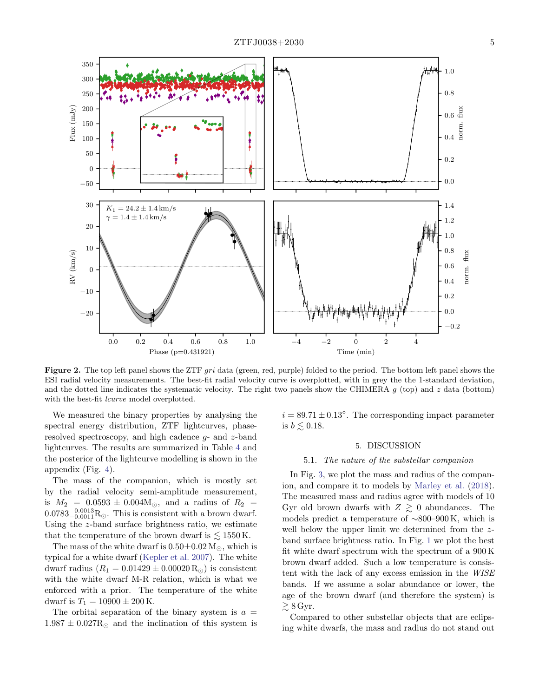

<span id="page-4-0"></span>Figure 2. The top left panel shows the ZTF gri data (green, red, purple) folded to the period. The bottom left panel shows the ESI radial velocity measurements. The best-fit radial velocity curve is overplotted, with in grey the the 1-standard deviation, and the dotted line indicates the systematic velocity. The right two panels show the CHIMERA  $g$  (top) and  $z$  data (bottom) with the best-fit *lcurve* model overplotted.

We measured the binary properties by analysing the spectral energy distribution, ZTF lightcurves, phaseresolved spectroscopy, and high cadence  $q$ - and  $z$ -band lightcurves. The results are summarized in Table [4](#page-3-0) and the posterior of the lightcurve modelling is shown in the appendix (Fig. [4\)](#page-8-0).

The mass of the companion, which is mostly set by the radial velocity semi-amplitude measurement, is  $M_2$  = 0.0593  $\pm$  0.004M<sub>O</sub>, and a radius of  $R_2$  =  $0.0783_{-0.0011}^{0.0013}$ R<sub>☉</sub>. This is consistent with a brown dwarf. Using the z-band surface brightness ratio, we estimate that the temperature of the brown dwarf is  $\lesssim 1550 \,\mathrm{K}$ .

The mass of the white dwarf is  $0.50 \pm 0.02$  M<sub> $\odot$ </sub>, which is typical for a white dwarf [\(Kepler et al.](#page-10-22) [2007\)](#page-10-22). The white dwarf radius  $(R_1 = 0.01429 \pm 0.00020 R_{\odot})$  is consistent with the white dwarf M-R relation, which is what we enforced with a prior. The temperature of the white dwarf is  $T_1 = 10900 \pm 200 \,\mathrm{K}$ .

The orbital separation of the binary system is  $a =$  $1.987 \pm 0.027 R_{\odot}$  and the inclination of this system is

 $i = 89.71 \pm 0.13^{\circ}$ . The corresponding impact parameter is  $b \lesssim 0.18$ .

# 5. DISCUSSION

### 5.1. The nature of the substellar companion

In Fig. [3,](#page-5-0) we plot the mass and radius of the companion, and compare it to models by [Marley et al.](#page-11-17) [\(2018\)](#page-11-17). The measured mass and radius agree with models of 10 Gyr old brown dwarfs with  $Z \geq 0$  abundances. The models predict a temperature of ∼800–900 K, which is well below the upper limit we determined from the zband surface brightness ratio. In Fig. [1](#page-3-2) we plot the best fit white dwarf spectrum with the spectrum of a 900 K brown dwarf added. Such a low temperature is consistent with the lack of any excess emission in the WISE bands. If we assume a solar abundance or lower, the age of the brown dwarf (and therefore the system) is  $\gtrsim 8 \,\mathrm{Gyr}.$ 

Compared to other substellar objects that are eclipsing white dwarfs, the mass and radius do not stand out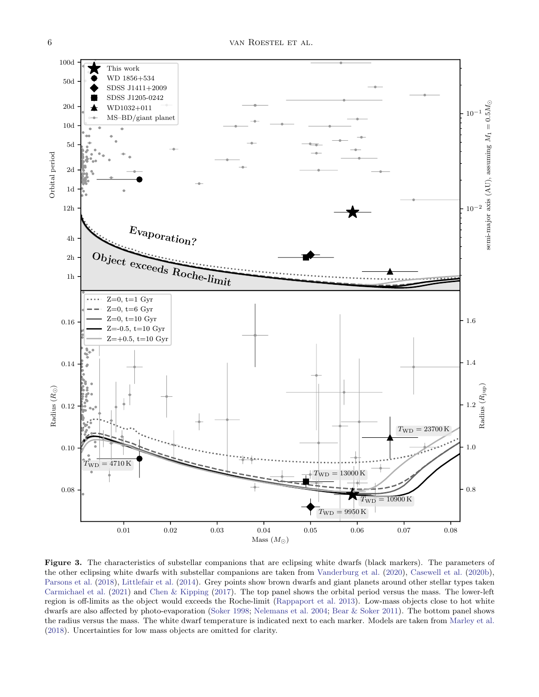

<span id="page-5-0"></span>Figure 3. The characteristics of substellar companions that are eclipsing white dwarfs (black markers). The parameters of the other eclipsing white dwarfs with substellar companions are taken from [Vanderburg et al.](#page-12-8) [\(2020\)](#page-12-8), [Casewell et al.](#page-9-4) [\(2020b\)](#page-9-4), [Parsons et al.](#page-11-11) [\(2018\)](#page-11-11), [Littlefair et al.](#page-11-18) [\(2014\)](#page-11-18). Grey points show brown dwarfs and giant planets around other stellar types taken [Carmichael et al.](#page-9-1) [\(2021\)](#page-9-1) and [Chen & Kipping](#page-9-19) [\(2017\)](#page-9-19). The top panel shows the orbital period versus the mass. The lower-left region is off-limits as the object would exceeds the Roche-limit [\(Rappaport et al.](#page-11-7) [2013\)](#page-11-7). Low-mass objects close to hot white dwarfs are also affected by photo-evaporation [\(Soker](#page-12-1) [1998;](#page-12-1) [Nelemans et al.](#page-11-19) [2004;](#page-11-19) [Bear & Soker](#page-9-6) [2011\)](#page-9-6). The bottom panel shows the radius versus the mass. The white dwarf temperature is indicated next to each marker. Models are taken from [Marley et al.](#page-11-17) [\(2018\)](#page-11-17). Uncertainties for low mass objects are omitted for clarity.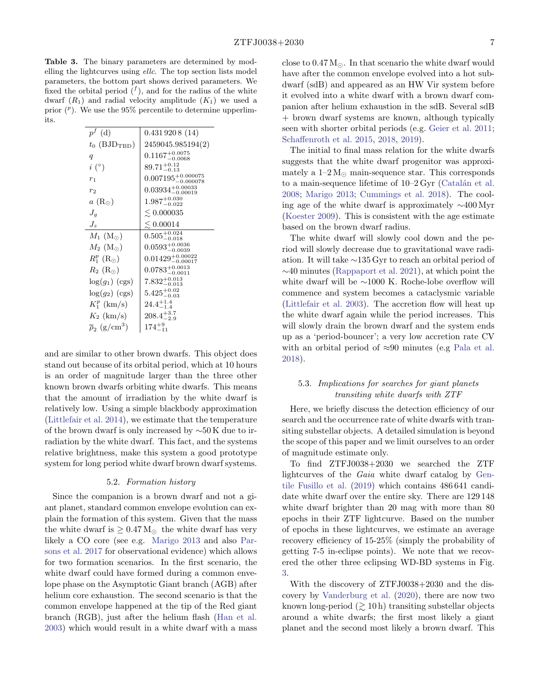Table 3. The binary parameters are determined by modelling the lightcurves using ellc. The top section lists model parameters, the bottom part shows derived parameters. We fixed the orbital period  $(f)$ , and for the radius of the white dwarf  $(R_1)$  and radial velocity amplitude  $(K_1)$  we used a prior  $\binom{p}{k}$ . We use the 95% percentile to determine upperlimits.

| $p^f$ (d)                           | 0.4319208(14)                      |
|-------------------------------------|------------------------------------|
| $t_0$ (BJD <sub>TBD</sub> )         | 2459045.985194(2)                  |
| q                                   | $0.1167^{+0.0075}_{-0.0068}$       |
| $i\ (^\circ)$                       | $89.71^{+0.12}_{-0.13}$            |
| $r_{1}$                             | $0.007195^{+0.000075}_{-0.000078}$ |
| r <sub>2</sub>                      | $0.03934_{-0.00019}^{+0.00033}$    |
| $a\left(R_{\odot}\right)$           | $1.987^{+0.030}_{-0.022}$          |
| $J_a$                               | $\lesssim 0.000035$                |
| $J_{\rm z}$                         | $\lesssim 0.00014$                 |
| $M_1$ (M <sub>o</sub> )             | $0.505^{+0.024}_{-0.018}$          |
| $M_2$ (M <sub>o</sub> )             | $0.0593_{-0.0039}^{+0.0036}$       |
| $R_1^p$ (R <sub>o</sub> )           | $0.01429_{-0.00017}^{+0.00022}$    |
| $R_2$ (R <sub>o</sub> )             | $0.0783^{+0.0013}_{-0.0011}$       |
| $log(g_1)$ (cgs)                    | $7.832^{+0.013}_{-0.013}$          |
| $log(g_2)$ (cgs)                    | $5.425^{+0.02}_{-0.03}$            |
| $K_1^p$ (km/s)                      | $24.4^{+1.4}_{-1.4}$               |
| $K_2$ (km/s)                        | $208.4^{+3.7}_{-2.9}$              |
| $\bar{\rho}_2$ (g/cm <sup>3</sup> ) | $174^{+9}_{-11}$                   |

and are similar to other brown dwarfs. This object does stand out because of its orbital period, which at 10 hours is an order of magnitude larger than the three other known brown dwarfs orbiting white dwarfs. This means that the amount of irradiation by the white dwarf is relatively low. Using a simple blackbody approximation [\(Littlefair et al.](#page-11-18) [2014\)](#page-11-18), we estimate that the temperature of the brown dwarf is only increased by ∼50 K due to irradiation by the white dwarf. This fact, and the systems relative brightness, make this system a good prototype system for long period white dwarf brown dwarf systems.

#### 5.2. Formation history

Since the companion is a brown dwarf and not a giant planet, standard common envelope evolution can explain the formation of this system. Given that the mass the white dwarf is  $\geq 0.47 M_{\odot}$  the white dwarf has very likely a CO core (see e.g. [Marigo](#page-11-20) [2013](#page-11-20) and also [Par](#page-11-21)[sons et al.](#page-11-21) [2017](#page-11-21) for observational evidence) which allows for two formation scenarios. In the first scenario, the white dwarf could have formed during a common envelope phase on the Asymptotic Giant branch (AGB) after helium core exhaustion. The second scenario is that the common envelope happened at the tip of the Red giant branch (RGB), just after the helium flash [\(Han et al.](#page-10-23) [2003\)](#page-10-23) which would result in a white dwarf with a mass close to  $0.47 M_{\odot}$ . In that scenario the white dwarf would have after the common envelope evolved into a hot subdwarf (sdB) and appeared as an HW Vir system before it evolved into a white dwarf with a brown dwarf companion after helium exhaustion in the sdB. Several sdB + brown dwarf systems are known, although typically seen with shorter orbital periods (e.g. [Geier et al.](#page-10-24) [2011;](#page-10-24) [Schaffenroth et al.](#page-11-22) [2015,](#page-11-22) [2018,](#page-11-23) [2019\)](#page-12-11).

The initial to final mass relation for the white dwarfs suggests that the white dwarf progenitor was approximately a  $1-2 M_{\odot}$  main-sequence star. This corresponds to a main-sequence lifetime of  $10-2 \,\mathrm{Gyr}$  (Catalán et al. [2008;](#page-9-20) [Marigo](#page-11-20) [2013;](#page-11-20) [Cummings et al.](#page-9-21) [2018\)](#page-9-21). The cooling age of the white dwarf is approximately ∼400 Myr [\(Koester](#page-10-19) [2009\)](#page-10-19). This is consistent with the age estimate based on the brown dwarf radius.

The white dwarf will slowly cool down and the period will slowly decrease due to gravitational wave radiation. It will take ∼135 Gyr to reach an orbital period of ∼40 minutes [\(Rappaport et al.](#page-11-8) [2021\)](#page-11-8), at which point the white dwarf will be ∼1000 K. Roche-lobe overflow will commence and system becomes a cataclysmic variable [\(Littlefair et al.](#page-11-24) [2003\)](#page-11-24). The accretion flow will heat up the white dwarf again while the period increases. This will slowly drain the brown dwarf and the system ends up as a 'period-bouncer'; a very low accretion rate CV with an orbital period of  $\approx 90$  minutes (e.g [Pala et al.](#page-11-25) [2018\)](#page-11-25).

# 5.3. Implications for searches for giant planets transiting white dwarfs with ZTF

Here, we briefly discuss the detection efficiency of our search and the occurrence rate of white dwarfs with transiting substellar objects. A detailed simulation is beyond the scope of this paper and we limit ourselves to an order of magnitude estimate only.

To find ZTFJ0038+2030 we searched the ZTF lightcurves of the Gaia white dwarf catalog by [Gen](#page-10-12)[tile Fusillo et al.](#page-10-12) [\(2019\)](#page-10-12) which contains 486 641 candidate white dwarf over the entire sky. There are 129 148 white dwarf brighter than 20 mag with more than 80 epochs in their ZTF lightcurve. Based on the number of epochs in these lightcurves, we estimate an average recovery efficiency of 15-25% (simply the probability of getting 7-5 in-eclipse points). We note that we recovered the other three eclipsing WD-BD systems in Fig. [3.](#page-5-0)

With the discovery of ZTFJ0038+2030 and the discovery by [Vanderburg et al.](#page-12-8) [\(2020\)](#page-12-8), there are now two known long-period  $(2 10 h)$  transiting substellar objects around a white dwarfs; the first most likely a giant planet and the second most likely a brown dwarf. This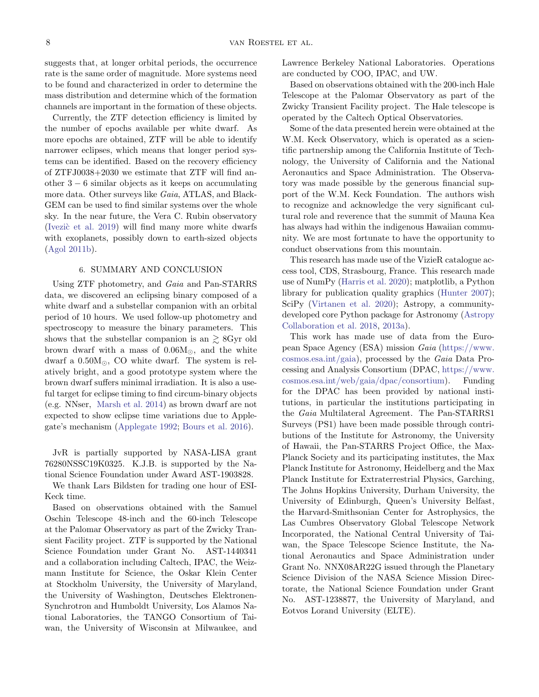suggests that, at longer orbital periods, the occurrence rate is the same order of magnitude. More systems need to be found and characterized in order to determine the mass distribution and determine which of the formation channels are important in the formation of these objects.

Currently, the ZTF detection efficiency is limited by the number of epochs available per white dwarf. As more epochs are obtained, ZTF will be able to identify narrower eclipses, which means that longer period systems can be identified. Based on the recovery efficiency of ZTFJ0038+2030 we estimate that ZTF will find another 3 − 6 similar objects as it keeps on accumulating more data. Other surveys like *Gaia*, ATLAS, and Black-GEM can be used to find similar systems over the whole sky. In the near future, the Vera C. Rubin observatory (Ivezic et al. [2019\)](#page-10-25) will find many more white dwarfs with exoplanets, possibly down to earth-sized objects [\(Agol](#page-9-22) [2011b\)](#page-9-22).

### 6. SUMMARY AND CONCLUSION

Using ZTF photometry, and Gaia and Pan-STARRS data, we discovered an eclipsing binary composed of a white dwarf and a substellar companion with an orbital period of 10 hours. We used follow-up photometry and spectroscopy to measure the binary parameters. This shows that the substellar companion is an  $\gtrsim$  8Gyr old brown dwarf with a mass of  $0.06M_{\odot}$ , and the white dwarf a  $0.50M_{\odot}$ , CO white dwarf. The system is relatively bright, and a good prototype system where the brown dwarf suffers minimal irradiation. It is also a useful target for eclipse timing to find circum-binary objects (e.g. NNser, [Marsh et al.](#page-11-26) [2014\)](#page-11-26) as brown dwarf are not expected to show eclipse time variations due to Applegate's mechanism [\(Applegate](#page-9-23) [1992;](#page-9-23) [Bours et al.](#page-9-24) [2016\)](#page-9-24).

JvR is partially supported by NASA-LISA grant 76280NSSC19K0325. K.J.B. is supported by the National Science Foundation under Award AST-1903828.

We thank Lars Bildsten for trading one hour of ESI-Keck time.

Based on observations obtained with the Samuel Oschin Telescope 48-inch and the 60-inch Telescope at the Palomar Observatory as part of the Zwicky Transient Facility project. ZTF is supported by the National Science Foundation under Grant No. AST-1440341 and a collaboration including Caltech, IPAC, the Weizmann Institute for Science, the Oskar Klein Center at Stockholm University, the University of Maryland, the University of Washington, Deutsches Elektronen-Synchrotron and Humboldt University, Los Alamos National Laboratories, the TANGO Consortium of Taiwan, the University of Wisconsin at Milwaukee, and Lawrence Berkeley National Laboratories. Operations are conducted by COO, IPAC, and UW.

Based on observations obtained with the 200-inch Hale Telescope at the Palomar Observatory as part of the Zwicky Transient Facility project. The Hale telescope is operated by the Caltech Optical Observatories.

Some of the data presented herein were obtained at the W.M. Keck Observatory, which is operated as a scientific partnership among the California Institute of Technology, the University of California and the National Aeronautics and Space Administration. The Observatory was made possible by the generous financial support of the W.M. Keck Foundation. The authors wish to recognize and acknowledge the very significant cultural role and reverence that the summit of Mauna Kea has always had within the indigenous Hawaiian community. We are most fortunate to have the opportunity to conduct observations from this mountain.

This research has made use of the VizieR catalogue access tool, CDS, Strasbourg, France. This research made use of NumPy [\(Harris et al.](#page-10-26) [2020\)](#page-10-26); matplotlib, a Python library for publication quality graphics [\(Hunter](#page-10-27) [2007\)](#page-10-27); SciPy [\(Virtanen et al.](#page-12-12) [2020\)](#page-12-12); Astropy, a communitydeveloped core Python package for Astronomy [\(Astropy](#page-9-25) [Collaboration et al.](#page-9-25) [2018,](#page-9-25) [2013a\)](#page-9-26).

This work has made use of data from the European Space Agency (ESA) mission Gaia [\(https://www.](https://www.cosmos.esa.int/gaia) [cosmos.esa.int/gaia\)](https://www.cosmos.esa.int/gaia), processed by the Gaia Data Processing and Analysis Consortium (DPAC, [https://www.](https://www.cosmos.esa.int/web/gaia/dpac/consortium) [cosmos.esa.int/web/gaia/dpac/consortium\)](https://www.cosmos.esa.int/web/gaia/dpac/consortium). Funding for the DPAC has been provided by national institutions, in particular the institutions participating in the Gaia Multilateral Agreement. The Pan-STARRS1 Surveys (PS1) have been made possible through contributions of the Institute for Astronomy, the University of Hawaii, the Pan-STARRS Project Office, the Max-Planck Society and its participating institutes, the Max Planck Institute for Astronomy, Heidelberg and the Max Planck Institute for Extraterrestrial Physics, Garching, The Johns Hopkins University, Durham University, the University of Edinburgh, Queen's University Belfast, the Harvard-Smithsonian Center for Astrophysics, the Las Cumbres Observatory Global Telescope Network Incorporated, the National Central University of Taiwan, the Space Telescope Science Institute, the National Aeronautics and Space Administration under Grant No. NNX08AR22G issued through the Planetary Science Division of the NASA Science Mission Directorate, the National Science Foundation under Grant No. AST-1238877, the University of Maryland, and Eotvos Lorand University (ELTE).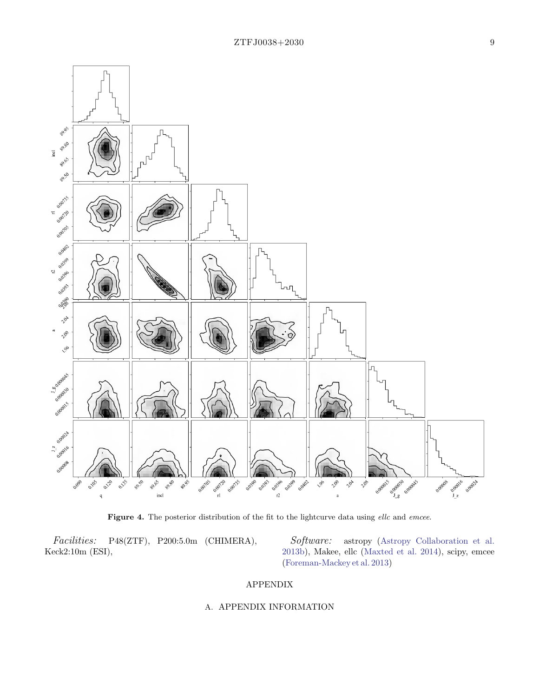

<span id="page-8-0"></span>Figure 4. The posterior distribution of the fit to the lightcurve data using ellc and emcee.

Facilities: P48(ZTF), P200:5.0m (CHIMERA), Keck2:10m (ESI),

Software: astropy [\(Astropy Collaboration et al.](#page-9-27) [2013b\)](#page-9-27), Makee, ellc [\(Maxted et al.](#page-11-27) [2014\)](#page-11-27), scipy, emcee [\(Foreman-Mackey et al.](#page-10-18) [2013\)](#page-10-18)

# APPENDIX

# A. APPENDIX INFORMATION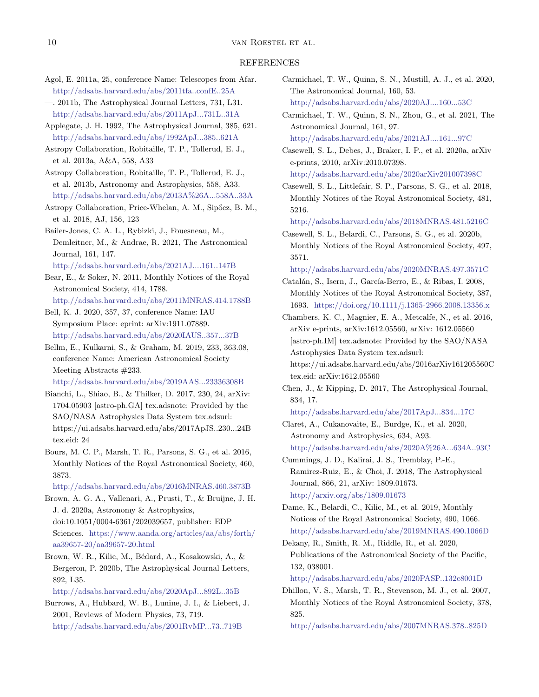#### REFERENCES

- <span id="page-9-9"></span>Agol, E. 2011a, 25, conference Name: Telescopes from Afar. <http://adsabs.harvard.edu/abs/2011tfa..confE..25A>
- <span id="page-9-22"></span>—. 2011b, The Astrophysical Journal Letters, 731, L31. <http://adsabs.harvard.edu/abs/2011ApJ...731L..31A>
- <span id="page-9-23"></span>Applegate, J. H. 1992, The Astrophysical Journal, 385, 621. <http://adsabs.harvard.edu/abs/1992ApJ...385..621A>
- <span id="page-9-26"></span>Astropy Collaboration, Robitaille, T. P., Tollerud, E. J., et al. 2013a, A&A, 558, A33
- <span id="page-9-27"></span>Astropy Collaboration, Robitaille, T. P., Tollerud, E. J., et al. 2013b, Astronomy and Astrophysics, 558, A33. <http://adsabs.harvard.edu/abs/2013A%26A...558A..33A>
- <span id="page-9-25"></span>Astropy Collaboration, Price-Whelan, A. M., Sipőcz, B. M., et al. 2018, AJ, 156, 123
- <span id="page-9-13"></span>Bailer-Jones, C. A. L., Rybizki, J., Fouesneau, M., Demleitner, M., & Andrae, R. 2021, The Astronomical Journal, 161, 147.
	- <http://adsabs.harvard.edu/abs/2021AJ....161..147B>
- <span id="page-9-6"></span>Bear, E., & Soker, N. 2011, Monthly Notices of the Royal Astronomical Society, 414, 1788.
- <span id="page-9-8"></span><http://adsabs.harvard.edu/abs/2011MNRAS.414.1788B> Bell, K. J. 2020, 357, 37, conference Name: IAU
- Symposium Place: eprint: arXiv:1911.07889. <http://adsabs.harvard.edu/abs/2020IAUS..357...37B>
- <span id="page-9-10"></span>Bellm, E., Kulkarni, S., & Graham, M. 2019, 233, 363.08, conference Name: American Astronomical Society Meeting Abstracts #233.

<http://adsabs.harvard.edu/abs/2019AAS...23336308B>

- <span id="page-9-16"></span>Bianchi, L., Shiao, B., & Thilker, D. 2017, 230, 24, arXiv: 1704.05903 [astro-ph.GA] tex.adsnote: Provided by the SAO/NASA Astrophysics Data System tex.adsurl: https://ui.adsabs.harvard.edu/abs/2017ApJS..230...24B tex.eid: 24
- <span id="page-9-24"></span>Bours, M. C. P., Marsh, T. R., Parsons, S. G., et al. 2016, Monthly Notices of the Royal Astronomical Society, 460, 3873.

<http://adsabs.harvard.edu/abs/2016MNRAS.460.3873B>

- <span id="page-9-15"></span>Brown, A. G. A., Vallenari, A., Prusti, T., & Bruijne, J. H. J. d. 2020a, Astronomy & Astrophysics, doi:10.1051/0004-6361/202039657, publisher: EDP Sciences. [https://www.aanda.org/articles/aa/abs/forth/](https://www.aanda.org/articles/aa/abs/forth/aa39657-20/aa39657-20.html) [aa39657-20/aa39657-20.html](https://www.aanda.org/articles/aa/abs/forth/aa39657-20/aa39657-20.html)
- <span id="page-9-12"></span>Brown, W. R., Kilic, M., Bédard, A., Kosakowski, A., & Bergeron, P. 2020b, The Astrophysical Journal Letters, 892, L35.

<http://adsabs.harvard.edu/abs/2020ApJ...892L..35B>

<span id="page-9-0"></span>Burrows, A., Hubbard, W. B., Lunine, J. I., & Liebert, J. 2001, Reviews of Modern Physics, 73, 719. <http://adsabs.harvard.edu/abs/2001RvMP...73..719B>

- <span id="page-9-2"></span>Carmichael, T. W., Quinn, S. N., Mustill, A. J., et al. 2020, The Astronomical Journal, 160, 53. <http://adsabs.harvard.edu/abs/2020AJ....160...53C>
- <span id="page-9-1"></span>Carmichael, T. W., Quinn, S. N., Zhou, G., et al. 2021, The Astronomical Journal, 161, 97.
	- <http://adsabs.harvard.edu/abs/2021AJ....161...97C>
- <span id="page-9-5"></span>Casewell, S. L., Debes, J., Braker, I. P., et al. 2020a, arXiv e-prints, 2010, arXiv:2010.07398.
- <http://adsabs.harvard.edu/abs/2020arXiv201007398C>
- <span id="page-9-3"></span>Casewell, S. L., Littlefair, S. P., Parsons, S. G., et al. 2018, Monthly Notices of the Royal Astronomical Society, 481, 5216.

<http://adsabs.harvard.edu/abs/2018MNRAS.481.5216C>

<span id="page-9-4"></span>Casewell, S. L., Belardi, C., Parsons, S. G., et al. 2020b, Monthly Notices of the Royal Astronomical Society, 497, 3571.

<http://adsabs.harvard.edu/abs/2020MNRAS.497.3571C>

- <span id="page-9-20"></span>Catalán, S., Isern, J., García-Berro, E., & Ribas, I. 2008, Monthly Notices of the Royal Astronomical Society, 387, 1693. <https://doi.org/10.1111/j.1365-2966.2008.13356.x>
- <span id="page-9-17"></span>Chambers, K. C., Magnier, E. A., Metcalfe, N., et al. 2016, arXiv e-prints, arXiv:1612.05560, arXiv: 1612.05560 [astro-ph.IM] tex.adsnote: Provided by the SAO/NASA Astrophysics Data System tex.adsurl: https://ui.adsabs.harvard.edu/abs/2016arXiv161205560C
	- tex.eid: arXiv:1612.05560
- <span id="page-9-19"></span>Chen, J., & Kipping, D. 2017, The Astrophysical Journal, 834, 17.

<http://adsabs.harvard.edu/abs/2017ApJ...834...17C>

- <span id="page-9-18"></span>Claret, A., Cukanovaite, E., Burdge, K., et al. 2020, Astronomy and Astrophysics, 634, A93. <http://adsabs.harvard.edu/abs/2020A%26A...634A..93C>
- <span id="page-9-21"></span>Cummings, J. D., Kalirai, J. S., Tremblay, P.-E., Ramirez-Ruiz, E., & Choi, J. 2018, The Astrophysical Journal, 866, 21, arXiv: 1809.01673. <http://arxiv.org/abs/1809.01673>
- <span id="page-9-7"></span>Dame, K., Belardi, C., Kilic, M., et al. 2019, Monthly Notices of the Royal Astronomical Society, 490, 1066. <http://adsabs.harvard.edu/abs/2019MNRAS.490.1066D>
- <span id="page-9-11"></span>Dekany, R., Smith, R. M., Riddle, R., et al. 2020, Publications of the Astronomical Society of the Pacific, 132, 038001.

```
http://adsabs.harvard.edu/abs/2020PASP..132c8001D
```
<span id="page-9-14"></span>Dhillon, V. S., Marsh, T. R., Stevenson, M. J., et al. 2007, Monthly Notices of the Royal Astronomical Society, 378, 825.

<http://adsabs.harvard.edu/abs/2007MNRAS.378..825D>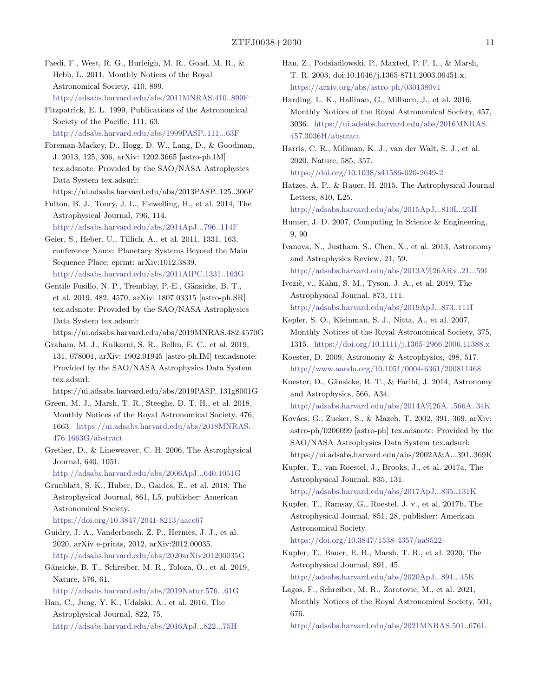- <span id="page-10-8"></span>Faedi, F., West, R. G., Burleigh, M. R., Goad, M. R., & Hebb, L. 2011, Monthly Notices of the Royal Astronomical Society, 410, 899. <http://adsabs.harvard.edu/abs/2011MNRAS.410..899F>
- <span id="page-10-20"></span>Fitzpatrick, E. L. 1999, Publications of the Astronomical Society of the Pacific, 111, 63. <http://adsabs.harvard.edu/abs/1999PASP..111...63F>
- <span id="page-10-18"></span>Foreman-Mackey, D., Hogg, D. W., Lang, D., & Goodman, J. 2013, 125, 306, arXiv: 1202.3665 [astro-ph.IM] tex.adsnote: Provided by the SAO/NASA Astrophysics Data System tex.adsurl:
- https://ui.adsabs.harvard.edu/abs/2013PASP..125..306F
- <span id="page-10-9"></span>Fulton, B. J., Tonry, J. L., Flewelling, H., et al. 2014, The Astrophysical Journal, 796, 114. <http://adsabs.harvard.edu/abs/2014ApJ...796..114F>
- <span id="page-10-24"></span>Geier, S., Heber, U., Tillich, A., et al. 2011, 1331, 163, conference Name: Planetary Systems Beyond the Main Sequence Place: eprint: arXiv:1012.3839. <http://adsabs.harvard.edu/abs/2011AIPC.1331..163G>
- <span id="page-10-12"></span>Gentile Fusillo, N. P., Tremblay, P.-E., Gänsicke, B. T., et al. 2019, 482, 4570, arXiv: 1807.03315 [astro-ph.SR] tex.adsnote: Provided by the SAO/NASA Astrophysics Data System tex.adsurl:
- https://ui.adsabs.harvard.edu/abs/2019MNRAS.482.4570G
- <span id="page-10-11"></span>Graham, M. J., Kulkarni, S. R., Bellm, E. C., et al. 2019, 131, 078001, arXiv: 1902.01945 [astro-ph.IM] tex.adsnote: Provided by the SAO/NASA Astrophysics Data System tex.adsurl:
- <span id="page-10-21"></span>https://ui.adsabs.harvard.edu/abs/2019PASP..131g8001G Green, M. J., Marsh, T. R., Steeghs, D. T. H., et al. 2018,
- Monthly Notices of the Royal Astronomical Society, 476, 1663. [https://ui.adsabs.harvard.edu/abs/2018MNRAS.](https://ui.adsabs.harvard.edu/abs/2018MNRAS.476.1663G/abstract) [476.1663G/abstract](https://ui.adsabs.harvard.edu/abs/2018MNRAS.476.1663G/abstract)
- <span id="page-10-1"></span>Grether, D., & Lineweaver, C. H. 2006, The Astrophysical Journal, 640, 1051.
	- <http://adsabs.harvard.edu/abs/2006ApJ...640.1051G>
- <span id="page-10-2"></span>Grunblatt, S. K., Huber, D., Gaidos, E., et al. 2018, The Astrophysical Journal, 861, L5, publisher: American Astronomical Society.
	- <https://doi.org/10.3847/2041-8213/aacc67>
- <span id="page-10-6"></span>Guidry, J. A., Vanderbosch, Z. P., Hermes, J. J., et al. 2020, arXiv e-prints, 2012, arXiv:2012.00035. <http://adsabs.harvard.edu/abs/2020arXiv201200035G>
- <span id="page-10-7"></span>Gänsicke, B. T., Schreiber, M. R., Toloza, O., et al. 2019, Nature, 576, 61.
	- <http://adsabs.harvard.edu/abs/2019Natur.576...61G>
- <span id="page-10-0"></span>Han, C., Jung, Y. K., Udalski, A., et al. 2016, The Astrophysical Journal, 822, 75. <http://adsabs.harvard.edu/abs/2016ApJ...822...75H>
- <span id="page-10-23"></span>Han, Z., Podsiadlowski, P., Maxted, P. F. L., & Marsh, T. R. 2003, doi:10.1046/j.1365-8711.2003.06451.x. <https://arxiv.org/abs/astro-ph/0301380v1>
- <span id="page-10-14"></span>Harding, L. K., Hallinan, G., Milburn, J., et al. 2016, Monthly Notices of the Royal Astronomical Society, 457, 3036. [https://ui.adsabs.harvard.edu/abs/2016MNRAS.](https://ui.adsabs.harvard.edu/abs/2016MNRAS.457.3036H/abstract) [457.3036H/abstract](https://ui.adsabs.harvard.edu/abs/2016MNRAS.457.3036H/abstract)
- <span id="page-10-26"></span>Harris, C. R., Millman, K. J., van der Walt, S. J., et al. 2020, Nature, 585, 357.
- <https://doi.org/10.1038/s41586-020-2649-2>
- <span id="page-10-10"></span>Hatzes, A. P., & Rauer, H. 2015, The Astrophysical Journal Letters, 810, L25.
	- <http://adsabs.harvard.edu/abs/2015ApJ...810L..25H>
- <span id="page-10-27"></span>Hunter, J. D. 2007, Computing In Science & Engineering, 9, 90
- <span id="page-10-3"></span>Ivanova, N., Justham, S., Chen, X., et al. 2013, Astronomy and Astrophysics Review, 21, 59.
	- <http://adsabs.harvard.edu/abs/2013A%26ARv..21...59I>
- <span id="page-10-25"></span>Ivezić, v., Kahn, S. M., Tyson, J. A., et al. 2019, The Astrophysical Journal, 873, 111. <http://adsabs.harvard.edu/abs/2019ApJ...873..111I>
- <span id="page-10-22"></span>Kepler, S. O., Kleinman, S. J., Nitta, A., et al. 2007, Monthly Notices of the Royal Astronomical Society, 375, 1315. <https://doi.org/10.1111/j.1365-2966.2006.11388.x>
- <span id="page-10-19"></span>Koester, D. 2009, Astronomy & Astrophysics, 498, 517. <http://www.aanda.org/10.1051/0004-6361/200811468>
- <span id="page-10-5"></span>Koester, D., Gänsicke, B. T., & Farihi, J. 2014, Astronomy and Astrophysics, 566, A34.
- <http://adsabs.harvard.edu/abs/2014A%26A...566A..34K>
- <span id="page-10-13"></span>Kovács, G., Zucker, S., & Mazeh, T. 2002, 391, 369, arXiv: astro-ph/0206099 [astro-ph] tex.adsnote: Provided by the SAO/NASA Astrophysics Data System tex.adsurl: https://ui.adsabs.harvard.edu/abs/2002A&A...391..369K
- <span id="page-10-16"></span>Kupfer, T., van Roestel, J., Brooks, J., et al. 2017a, The Astrophysical Journal, 835, 131.
	- <http://adsabs.harvard.edu/abs/2017ApJ...835..131K>
- <span id="page-10-17"></span>Kupfer, T., Ramsay, G., Roestel, J. v., et al. 2017b, The Astrophysical Journal, 851, 28, publisher: American Astronomical Society. <https://doi.org/10.3847/1538-4357/aa9522>
- <span id="page-10-15"></span>Kupfer, T., Bauer, E. B., Marsh, T. R., et al. 2020, The Astrophysical Journal, 891, 45.
	- <http://adsabs.harvard.edu/abs/2020ApJ...891...45K>
- <span id="page-10-4"></span>Lagos, F., Schreiber, M. R., Zorotovic, M., et al. 2021, Monthly Notices of the Royal Astronomical Society, 501, 676.
- <http://adsabs.harvard.edu/abs/2021MNRAS.501..676L>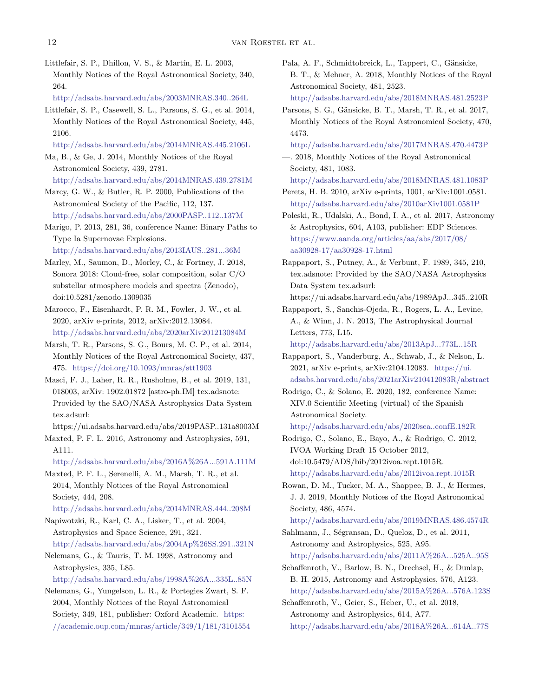<span id="page-11-24"></span>Littlefair, S. P., Dhillon, V. S., & Martín, E. L. 2003, Monthly Notices of the Royal Astronomical Society, 340, 264.

<http://adsabs.harvard.edu/abs/2003MNRAS.340..264L>

- <span id="page-11-18"></span>Littlefair, S. P., Casewell, S. L., Parsons, S. G., et al. 2014, Monthly Notices of the Royal Astronomical Society, 445, 2106.
- <http://adsabs.harvard.edu/abs/2014MNRAS.445.2106L>
- <span id="page-11-3"></span>Ma, B., & Ge, J. 2014, Monthly Notices of the Royal Astronomical Society, 439, 2781.
	- <http://adsabs.harvard.edu/abs/2014MNRAS.439.2781M>
- <span id="page-11-1"></span>Marcy, G. W., & Butler, R. P. 2000, Publications of the Astronomical Society of the Pacific, 112, 137. <http://adsabs.harvard.edu/abs/2000PASP..112..137M>
- <span id="page-11-20"></span>Marigo, P. 2013, 281, 36, conference Name: Binary Paths to Type Ia Supernovae Explosions.
	- <http://adsabs.harvard.edu/abs/2013IAUS..281...36M>
- <span id="page-11-17"></span>Marley, M., Saumon, D., Morley, C., & Fortney, J. 2018, Sonora 2018: Cloud-free, solar composition, solar C/O substellar atmosphere models and spectra (Zenodo), doi:10.5281/zenodo.1309035
- <span id="page-11-10"></span>Marocco, F., Eisenhardt, P. R. M., Fowler, J. W., et al. 2020, arXiv e-prints, 2012, arXiv:2012.13084. <http://adsabs.harvard.edu/abs/2020arXiv201213084M>
- <span id="page-11-26"></span>Marsh, T. R., Parsons, S. G., Bours, M. C. P., et al. 2014, Monthly Notices of the Royal Astronomical Society, 437, 475. <https://doi.org/10.1093/mnras/stt1903>
- <span id="page-11-9"></span>Masci, F. J., Laher, R. R., Rusholme, B., et al. 2019, 131, 018003, arXiv: 1902.01872 [astro-ph.IM] tex.adsnote: Provided by the SAO/NASA Astrophysics Data System tex.adsurl:
	- https://ui.adsabs.harvard.edu/abs/2019PASP..131a8003M
- <span id="page-11-15"></span>Maxted, P. F. L. 2016, Astronomy and Astrophysics, 591, A111.
- <http://adsabs.harvard.edu/abs/2016A%26A...591A.111M>
- <span id="page-11-27"></span>Maxted, P. F. L., Serenelli, A. M., Marsh, T. R., et al. 2014, Monthly Notices of the Royal Astronomical Society, 444, 208.

<http://adsabs.harvard.edu/abs/2014MNRAS.444..208M>

- <span id="page-11-12"></span>Napiwotzki, R., Karl, C. A., Lisker, T., et al. 2004, Astrophysics and Space Science, 291, 321. <http://adsabs.harvard.edu/abs/2004Ap%26SS.291..321N>
- <span id="page-11-4"></span>Nelemans, G., & Tauris, T. M. 1998, Astronomy and Astrophysics, 335, L85.
	- <http://adsabs.harvard.edu/abs/1998A%26A...335L..85N>

<span id="page-11-19"></span>Nelemans, G., Yungelson, L. R., & Portegies Zwart, S. F. 2004, Monthly Notices of the Royal Astronomical Society, 349, 181, publisher: Oxford Academic. [https:](https://academic.oup.com/mnras/article/349/1/181/3101554) [//academic.oup.com/mnras/article/349/1/181/3101554](https://academic.oup.com/mnras/article/349/1/181/3101554)

- <span id="page-11-25"></span>Pala, A. F., Schmidtobreick, L., Tappert, C., Gänsicke, B. T., & Mehner, A. 2018, Monthly Notices of the Royal Astronomical Society, 481, 2523.
	- <http://adsabs.harvard.edu/abs/2018MNRAS.481.2523P>
- <span id="page-11-21"></span>Parsons, S. G., Gänsicke, B. T., Marsh, T. R., et al. 2017, Monthly Notices of the Royal Astronomical Society, 470, 4473.
- <http://adsabs.harvard.edu/abs/2017MNRAS.470.4473P>
- <span id="page-11-11"></span>—. 2018, Monthly Notices of the Royal Astronomical Society, 481, 1083.
	- <http://adsabs.harvard.edu/abs/2018MNRAS.481.1083P>
- <span id="page-11-5"></span>Perets, H. B. 2010, arXiv e-prints, 1001, arXiv:1001.0581. <http://adsabs.harvard.edu/abs/2010arXiv1001.0581P>
- <span id="page-11-0"></span>Poleski, R., Udalski, A., Bond, I. A., et al. 2017, Astronomy & Astrophysics, 604, A103, publisher: EDP Sciences. [https://www.aanda.org/articles/aa/abs/2017/08/](https://www.aanda.org/articles/aa/abs/2017/08/aa30928-17/aa30928-17.html) [aa30928-17/aa30928-17.html](https://www.aanda.org/articles/aa/abs/2017/08/aa30928-17/aa30928-17.html)
- <span id="page-11-16"></span>Rappaport, S., Putney, A., & Verbunt, F. 1989, 345, 210, tex.adsnote: Provided by the SAO/NASA Astrophysics Data System tex.adsurl:
	- https://ui.adsabs.harvard.edu/abs/1989ApJ...345..210R
- <span id="page-11-7"></span>Rappaport, S., Sanchis-Ojeda, R., Rogers, L. A., Levine, A., & Winn, J. N. 2013, The Astrophysical Journal Letters, 773, L15.
	- <http://adsabs.harvard.edu/abs/2013ApJ...773L..15R>
- <span id="page-11-8"></span>Rappaport, S., Vanderburg, A., Schwab, J., & Nelson, L. 2021, arXiv e-prints, arXiv:2104.12083. [https://ui.](https://ui.adsabs.harvard.edu/abs/2021arXiv210412083R/abstract) [adsabs.harvard.edu/abs/2021arXiv210412083R/abstract](https://ui.adsabs.harvard.edu/abs/2021arXiv210412083R/abstract)
- <span id="page-11-14"></span>Rodrigo, C., & Solano, E. 2020, 182, conference Name: XIV.0 Scientific Meeting (virtual) of the Spanish Astronomical Society.

<http://adsabs.harvard.edu/abs/2020sea..confE.182R>

- <span id="page-11-13"></span>Rodrigo, C., Solano, E., Bayo, A., & Rodrigo, C. 2012, IVOA Working Draft 15 October 2012, doi:10.5479/ADS/bib/2012ivoa.rept.1015R. <http://adsabs.harvard.edu/abs/2012ivoa.rept.1015R>
- <span id="page-11-6"></span>Rowan, D. M., Tucker, M. A., Shappee, B. J., & Hermes, J. J. 2019, Monthly Notices of the Royal Astronomical Society, 486, 4574.

<http://adsabs.harvard.edu/abs/2019MNRAS.486.4574R>

- <span id="page-11-2"></span>Sahlmann, J., Ségransan, D., Queloz, D., et al. 2011, Astronomy and Astrophysics, 525, A95.
	- <http://adsabs.harvard.edu/abs/2011A%26A...525A..95S>
- <span id="page-11-22"></span>Schaffenroth, V., Barlow, B. N., Drechsel, H., & Dunlap, B. H. 2015, Astronomy and Astrophysics, 576, A123. <http://adsabs.harvard.edu/abs/2015A%26A...576A.123S>
- <span id="page-11-23"></span>Schaffenroth, V., Geier, S., Heber, U., et al. 2018, Astronomy and Astrophysics, 614, A77. <http://adsabs.harvard.edu/abs/2018A%26A...614A..77S>